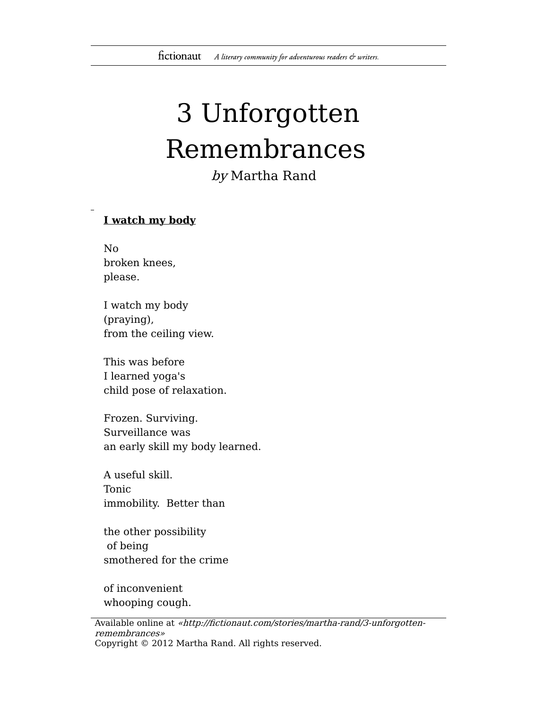## 3 Unforgotten Remembrances

by Martha Rand

## **I watch my body**

No broken knees, please.

I watch my body (praying), from the ceiling view.

This was before I learned yoga's child pose of relaxation.

Frozen. Surviving. Surveillance was an early skill my body learned.

A useful skill. Tonic immobility. Better than

the other possibility of being smothered for the crime

of inconvenient whooping cough.

Available online at «http://fictionaut.com/stories/martha-rand/3-unforgottenremembrances» Copyright © 2012 Martha Rand. All rights reserved.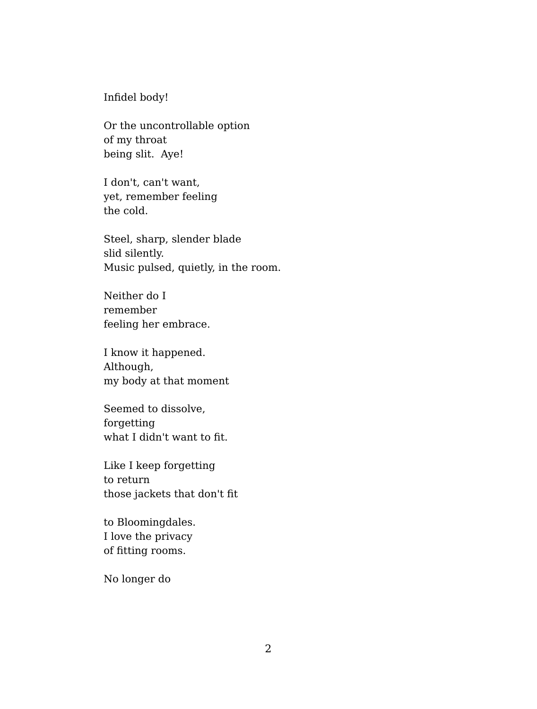Infidel body!

Or the uncontrollable option of my throat being slit. Aye!

I don't, can't want, yet, remember feeling the cold.

Steel, sharp, slender blade slid silently. Music pulsed, quietly, in the room.

Neither do I remember feeling her embrace.

I know it happened. Although, my body at that moment

Seemed to dissolve, forgetting what I didn't want to fit.

Like I keep forgetting to return those jackets that don't fit

to Bloomingdales. I love the privacy of fitting rooms.

No longer do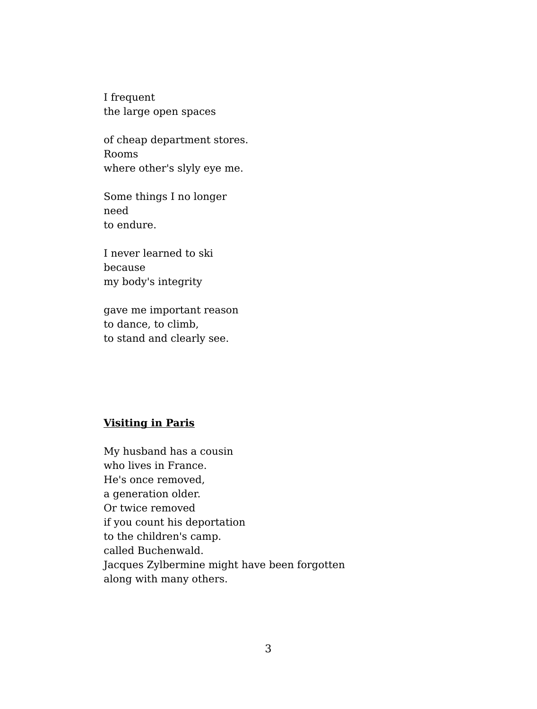I frequent the large open spaces

of cheap department stores. Rooms where other's slyly eye me.

Some things I no longer need to endure.

I never learned to ski because my body's integrity

gave me important reason to dance, to climb, to stand and clearly see.

## **Visiting in Paris**

My husband has a cousin who lives in France. He's once removed, a generation older. Or twice removed if you count his deportation to the children's camp. called Buchenwald. Jacques Zylbermine might have been forgotten along with many others.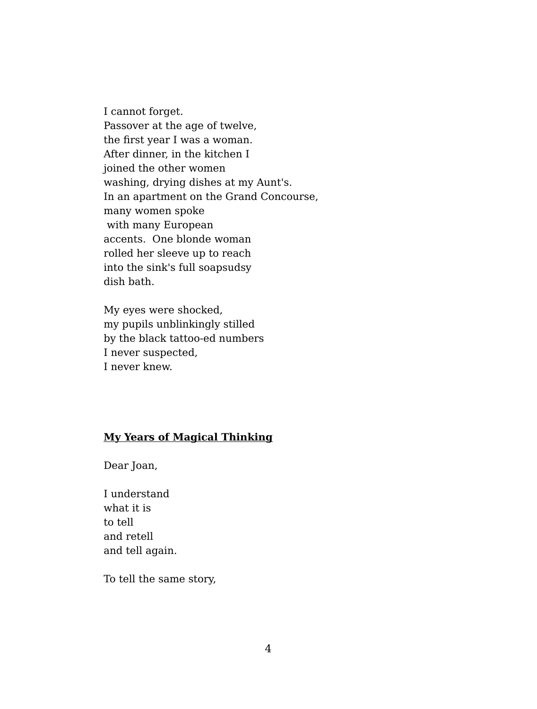I cannot forget. Passover at the age of twelve, the first year I was a woman. After dinner, in the kitchen I joined the other women washing, drying dishes at my Aunt's. In an apartment on the Grand Concourse, many women spoke with many European accents. One blonde woman rolled her sleeve up to reach into the sink's full soapsudsy dish bath.

My eyes were shocked, my pupils unblinkingly stilled by the black tattoo-ed numbers I never suspected, I never knew.

## **My Years of Magical Thinking**

Dear Joan,

I understand what it is to tell and retell and tell again.

To tell the same story,